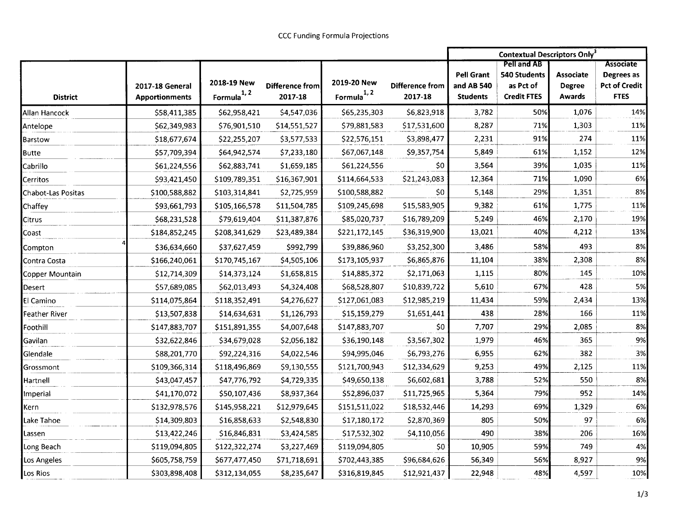|                           |                       |                         |                 |                |                        | <b>Contextual Descriptors Only3</b> |                                           |                  |                                |
|---------------------------|-----------------------|-------------------------|-----------------|----------------|------------------------|-------------------------------------|-------------------------------------------|------------------|--------------------------------|
|                           |                       |                         |                 |                |                        | <b>Pell Grant</b>                   | <b>Pell and AB</b><br><b>540 Students</b> | <b>Associate</b> | <b>Associate</b><br>Degrees as |
|                           | 2017-18 General       | 2018-19 New             | Difference from | 2019-20 New    | <b>Difference from</b> | and AB 540                          | as Pct of                                 | <b>Degree</b>    | <b>Pct of Credit</b>           |
| <b>District</b>           | <b>Apportionments</b> | Formula <sup>1, 2</sup> | 2017-18         | Formula $1, 2$ | 2017-18                | <b>Students</b>                     | <b>Credit FTES</b>                        | <b>Awards</b>    | <b>FTES</b>                    |
| Allan Hancock             | \$58,411,385          | \$62,958,421            | \$4,547,036     | \$65,235,303   | \$6,823,918            | 3,782                               | 50%                                       | 1,076            | 14%                            |
| Antelope                  | \$62,349,983          | \$76,901,510            | \$14,551,527    | \$79,881,583   | \$17,531,600           | 8,287                               | 71%                                       | 1,303            | 11%                            |
| Barstow                   | \$18,677,674          | \$22,255,207            | \$3,577,533     | \$22,576,151   | \$3,898,477            | 2,231                               | 91%                                       | 274              | 11%                            |
| <b>Butte</b>              | \$57,709,394          | \$64,942,574            | \$7,233,180     | \$67,067,148   | \$9,357,754            | 5,849                               | 61%                                       | 1,152            | 12%                            |
| Cabrillo                  | \$61,224,556          | \$62,883,741            | \$1,659,185     | \$61,224,556   | \$0                    | 3,564                               | 39%                                       | 1,035            | 11%                            |
| Cerritos                  | \$93,421,450          | \$109,789,351           | \$16,367,901    | \$114,664,533  | \$21,243,083           | 12,364                              | 71%                                       | 1,090            | 6%                             |
| <b>Chabot-Las Positas</b> | \$100,588,882         | \$103,314,841           | \$2,725,959     | \$100,588,882  | \$0                    | 5,148                               | 29%                                       | 1,351            | 8%                             |
| Chaffey                   | \$93,661,793          | \$105,166,578           | \$11,504,785    | \$109,245,698  | \$15,583,905           | 9,382                               | 61%                                       | 1,775            | 11%                            |
| Citrus                    | \$68,231,528          | \$79,619,404            | \$11,387,876    | \$85,020,737   | \$16,789,209           | 5,249                               | 46%                                       | 2,170            | 19%                            |
| Coast                     | \$184,852,245         | \$208,341,629           | \$23,489,384    | \$221,172,145  | \$36,319,900           | 13,021                              | 40%                                       | 4,212            | 13%                            |
| Compton                   | \$36,634,660          | \$37,627,459            | \$992,799       | \$39,886,960   | \$3,252,300            | 3,486                               | 58%                                       | 493              | 8%                             |
| Contra Costa              | \$166,240,061         | \$170,745,167           | \$4,505,106     | \$173,105,937  | \$6,865,876            | 11,104                              | 38%                                       | 2,308            | 8%                             |
| Copper Mountain           | \$12,714,309          | \$14,373,124            | \$1,658,815     | \$14,885,372   | \$2,171,063            | 1,115                               | 80%                                       | 145              | 10%                            |
| Desert                    | \$57,689,085          | \$62,013,493            | \$4,324,408     | \$68,528,807   | \$10,839,722           | 5,610                               | 67%                                       | 428              | 5%                             |
| El Camino                 | \$114,075,864         | \$118,352,491           | \$4,276,627     | \$127,061,083  | \$12,985,219           | 11,434                              | 59%                                       | 2,434            | 13%                            |
| Feather River             | \$13,507,838          | \$14,634,631            | \$1,126,793     | \$15,159,279   | \$1,651,441            | 438                                 | 28%                                       | 166              | 11%                            |
| Foothill                  | \$147,883,707         | \$151,891,355           | \$4,007,648     | \$147,883,707  | 50                     | 7,707                               | 29%                                       | 2,085            | 8%                             |
| Gavilan                   | \$32,622,846          | \$34,679,028            | \$2,056,182     | \$36,190,148   | \$3,567,302            | 1,979                               | 46%                                       | 365              | 9%                             |
| Glendale                  | \$88,201,770          | \$92,224,316            | \$4,022,546     | \$94,995,046   | \$6,793,276            | 6,955                               | 62%                                       | 382              | 3%                             |
| Grossmont                 | \$109,366,314         | \$118,496,869           | \$9,130,555     | \$121,700,943  | \$12,334,629           | 9,253                               | 49%                                       | 2,125            | 11%                            |
| Hartnell                  | \$43,047,457          | \$47,776,792            | \$4,729,335     | \$49,650,138   | \$6,602,681            | 3,788                               | 52%                                       | 550              | 8%                             |
| mperial                   | \$41,170,072          | \$50,107,436            | \$8,937,364     | \$52,896,037   | \$11,725,965           | 5,364                               | 79%                                       | 952              | 14%                            |
| Kern                      | \$132,978,576         | \$145,958,221           | \$12,979,645    | \$151,511,022  | \$18,532,446           | 14,293                              | 69%                                       | 1,329            | 6%                             |
| Lake Tahoe                | \$14,309,803          | \$16,858,633            | \$2,548,830     | \$17,180,172   | \$2,870,369            | 805                                 | 50%                                       | 97               | 6%                             |
| Lassen                    | \$13,422,246          | \$16,846,831            | \$3,424,585     | \$17,532,302   | \$4,110,056            | 490                                 | 38%                                       | 206              | 16%                            |
| Long Beach                | \$119,094,805         | \$122,322,274           | \$3,227,469     | \$119,094,805  | \$0                    | 10,905                              | 59%                                       | 749              | 4%                             |
| Los Angeles               | \$605,758,759         | \$677,477,450           | \$71,718,691    | \$702,443,385  | \$96,684,626           | 56,349                              | 56%                                       | 8,927            | 9%                             |
| Los Rios                  | \$303,898,408         | \$312,134,055           | \$8,235,647     | \$316,819,845  | \$12,921,437           | 22,948                              | 48%                                       | 4,597            | 10%                            |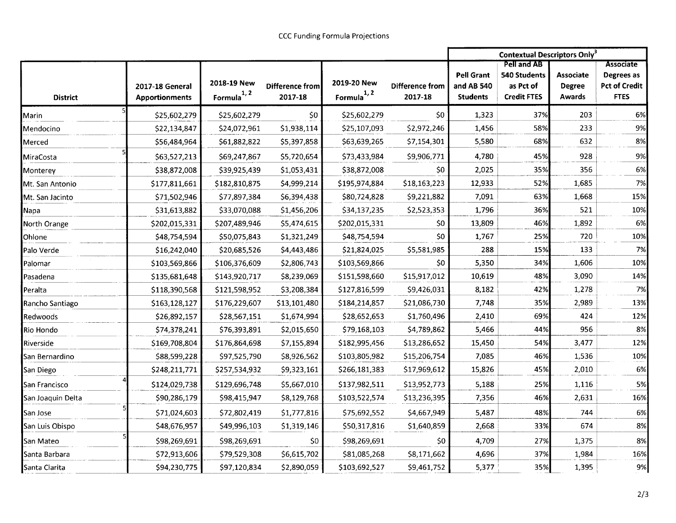|                          |                                          |                               |                                   |                               |                                   | <b>Contextual Descriptors Only<sup>3</sup></b>     |                                                                       |                                             |                                                                       |
|--------------------------|------------------------------------------|-------------------------------|-----------------------------------|-------------------------------|-----------------------------------|----------------------------------------------------|-----------------------------------------------------------------------|---------------------------------------------|-----------------------------------------------------------------------|
| <b>District</b>          | 2017-18 General<br><b>Apportionments</b> | 2018-19 New<br>Formula $1, 2$ | <b>Difference from</b><br>2017-18 | 2019-20 New<br>Formula $1, 2$ | <b>Difference from</b><br>2017-18 | <b>Pell Grant</b><br>and AB 540<br><b>Students</b> | Pell and AB<br><b>540 Students</b><br>as Pct of<br><b>Credit FTES</b> | <b>Associate</b><br><b>Degree</b><br>Awards | <b>Associate</b><br>Degrees as<br><b>Pct of Credit</b><br><b>FTES</b> |
| Marin                    | \$25,602,279                             | \$25,602,279                  | \$0                               | \$25,602,279                  | \$0                               | 1,323                                              | 37%                                                                   | 203                                         | 6%                                                                    |
| Mendocino                | \$22,134,847                             | \$24,072,961                  | \$1,938,114                       | \$25,107,093                  | \$2,972,246                       | 1,456                                              | 58%                                                                   | 233                                         | 9%                                                                    |
| Merced                   | \$56,484,964                             | \$61,882,822                  | \$5,397,858                       | \$63,639,265                  | \$7,154,301                       | 5,580                                              | 68%                                                                   | 632                                         | 8%                                                                    |
| MiraCosta                | \$63,527,213                             | \$69,247,867                  | \$5,720,654                       | \$73,433,984                  | \$9,906,771                       | 4,780                                              | 45%                                                                   | 928                                         | 9%                                                                    |
| Monterey                 | \$38,872,008                             | \$39,925,439                  | \$1,053,431                       | \$38,872,008                  | S0                                | 2,025                                              | 35%                                                                   | 356                                         | 6%                                                                    |
| <b>I</b> Mt. San Antonio | \$177,811,661                            | \$182,810,875                 | \$4,999,214                       | \$195,974,884                 | \$18,163,223                      | 12,933                                             | 52%                                                                   | 1,685                                       | 7%                                                                    |
| Mt. San Jacinto          | \$71,502,946                             | \$77,897,384                  | \$6,394,438                       | \$80,724,828                  | \$9,221,882                       | 7,091                                              | 63%                                                                   | 1,668                                       | 15%                                                                   |
| Napa                     | \$31,613,882                             | \$33,070,088                  | \$1,456,206                       | \$34,137,235                  | \$2,523,353                       | 1,796                                              | 36%                                                                   | 521                                         | 10%                                                                   |
| North Orange             | \$202,015,331                            | \$207,489,946                 | \$5,474,615                       | \$202,015,331                 | \$0                               | 13,809                                             | 46%                                                                   | 1,892                                       | 6%                                                                    |
| Ohlone                   | \$48,754,594                             | \$50,075,843                  | \$1,321,249                       | \$48,754,594                  | \$0                               | 1,767                                              | 25%                                                                   | 720                                         | 10%                                                                   |
| Palo Verde               | \$16,242,040                             | \$20,685,526                  | \$4,443,486                       | \$21,824,025                  | \$5,581,985                       | 288                                                | 15%                                                                   | 133                                         | 7%                                                                    |
| Palomar                  | \$103,569,866                            | \$106,376,609                 | \$2,806,743                       | \$103,569,866                 | \$0                               | 5,350                                              | 34%                                                                   | 1,606                                       | 10%                                                                   |
| Pasadena                 | \$135,681,648                            | \$143,920,717                 | \$8,239,069                       | \$151,598,660                 | \$15,917,012                      | 10,619                                             | 48%                                                                   | 3,090                                       | 14%                                                                   |
| Peralta                  | \$118,390,568                            | \$121,598,952                 | \$3,208,384                       | \$127,816,599                 | \$9,426,031                       | 8,182                                              | 42%                                                                   | 1,278                                       | 7%                                                                    |
| Rancho Santiago          | \$163,128,127                            | \$176,229,607                 | \$13,101,480                      | \$184,214,857                 | \$21,086,730                      | 7,748                                              | 35%                                                                   | 2,989                                       | 13%                                                                   |
| Redwoods                 | \$26,892,157                             | \$28,567,151                  | \$1,674,994                       | \$28,652,653                  | \$1,760,496                       | 2,410                                              | 69%                                                                   | 424                                         | 12%                                                                   |
| Rio Hondo                | \$74,378,241                             | \$76,393,891                  | \$2,015,650                       | \$79,168,103                  | \$4,789,862                       | 5,466                                              | 44%                                                                   | 956                                         | 8%                                                                    |
| Riverside                | \$169,708,804                            | \$176,864,698                 | \$7,155,894                       | \$182,995,456                 | \$13,286,652                      | 15,450                                             | 54%                                                                   | 3,477                                       | 12%                                                                   |
| San Bernardino           | \$88,599,228                             | \$97,525,790                  | \$8,926,562                       | \$103,805,982                 | \$15,206,754                      | 7,085                                              | 46%                                                                   | 1,536                                       | 10%                                                                   |
| San Diego                | \$248,211,771                            | \$257,534,932                 | \$9,323,161                       | \$266,181,383                 | \$17,969,612                      | 15,826                                             | 45%                                                                   | 2,010                                       | 6%                                                                    |
| San Francisco            | \$124,029,738                            | \$129,696,748                 | \$5,667,010                       | \$137,982,511                 | \$13,952,773                      | 5,188                                              | 25%                                                                   | 1,116                                       | 5%                                                                    |
| San Joaquin Delta        | \$90,286,179                             | \$98,415,947                  | \$8,129,768                       | \$103,522,574                 | \$13,236,395                      | 7,356                                              | 46%                                                                   | 2,631                                       | 16%                                                                   |
| San Jose                 | \$71,024,603                             | \$72,802,419                  | \$1,777,816                       | \$75,692,552                  | \$4,667,949                       | 5,487                                              | 48%                                                                   | 744                                         | 6%                                                                    |
| San Luis Obispo          | \$48,676,957                             | \$49,996,103                  | \$1,319,146                       | \$50,317,816                  | \$1,640,859                       | 2,668                                              | 33%                                                                   | 674                                         | 8%                                                                    |
| San Mateo                | \$98,269,691                             | \$98,269,691                  | \$0                               | \$98,269,691                  | \$0                               | 4,709                                              | 27%                                                                   | 1,375                                       | 8%                                                                    |
| Santa Barbara            | \$72,913,606                             | \$79,529,308                  | \$6,615,702                       | \$81,085,268                  | \$8,171,662                       | 4,696                                              | 37%                                                                   | 1,984                                       | 16%                                                                   |
| Santa Clarita            | \$94,230,775                             | \$97,120,834                  | \$2,890,059                       | \$103,692,527                 | \$9,461,752                       | 5,377                                              | 35%                                                                   | 1,395                                       | 9%                                                                    |